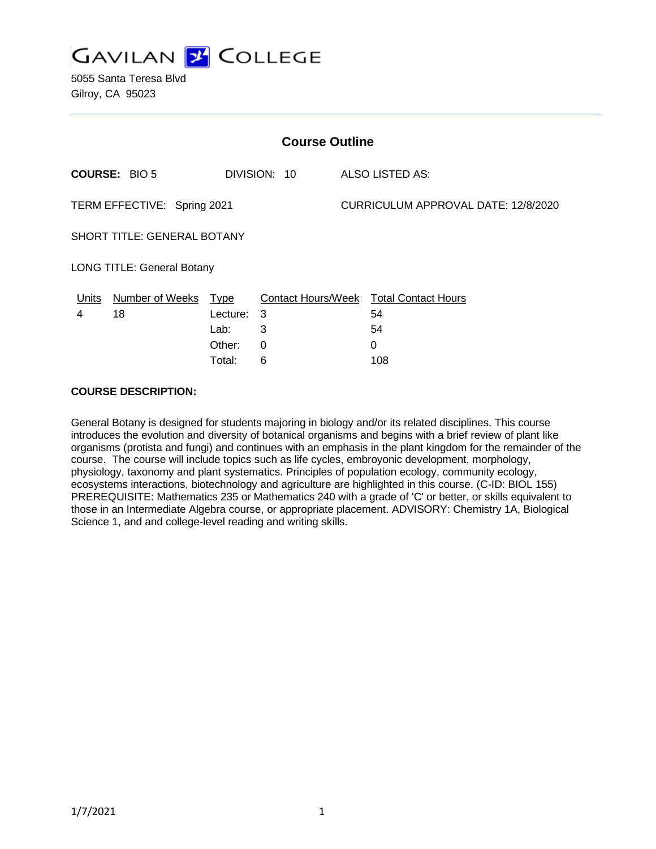

5055 Santa Teresa Blvd Gilroy, CA 95023

| <b>Course Outline</b>             |                        |              |                 |                                     |                                        |
|-----------------------------------|------------------------|--------------|-----------------|-------------------------------------|----------------------------------------|
| <b>COURSE: BIO 5</b>              |                        | DIVISION: 10 | ALSO LISTED AS: |                                     |                                        |
| TERM EFFECTIVE: Spring 2021       |                        |              |                 | CURRICULUM APPROVAL DATE: 12/8/2020 |                                        |
| SHORT TITLE: GENERAL BOTANY       |                        |              |                 |                                     |                                        |
| <b>LONG TITLE: General Botany</b> |                        |              |                 |                                     |                                        |
| Units                             | <b>Number of Weeks</b> | <b>Type</b>  |                 |                                     | Contact Hours/Week Total Contact Hours |
| 4                                 | 18                     | Lecture:     | 3               |                                     | 54                                     |
|                                   |                        | Lab:         | 3               |                                     | 54                                     |
|                                   |                        | Other:       | 0               |                                     | 0                                      |
|                                   |                        | Total:       | 6               |                                     | 108                                    |

#### **COURSE DESCRIPTION:**

General Botany is designed for students majoring in biology and/or its related disciplines. This course introduces the evolution and diversity of botanical organisms and begins with a brief review of plant like organisms (protista and fungi) and continues with an emphasis in the plant kingdom for the remainder of the course. The course will include topics such as life cycles, embroyonic development, morphology, physiology, taxonomy and plant systematics. Principles of population ecology, community ecology, ecosystems interactions, biotechnology and agriculture are highlighted in this course. (C-ID: BIOL 155) PREREQUISITE: Mathematics 235 or Mathematics 240 with a grade of 'C' or better, or skills equivalent to those in an Intermediate Algebra course, or appropriate placement. ADVISORY: Chemistry 1A, Biological Science 1, and and college-level reading and writing skills.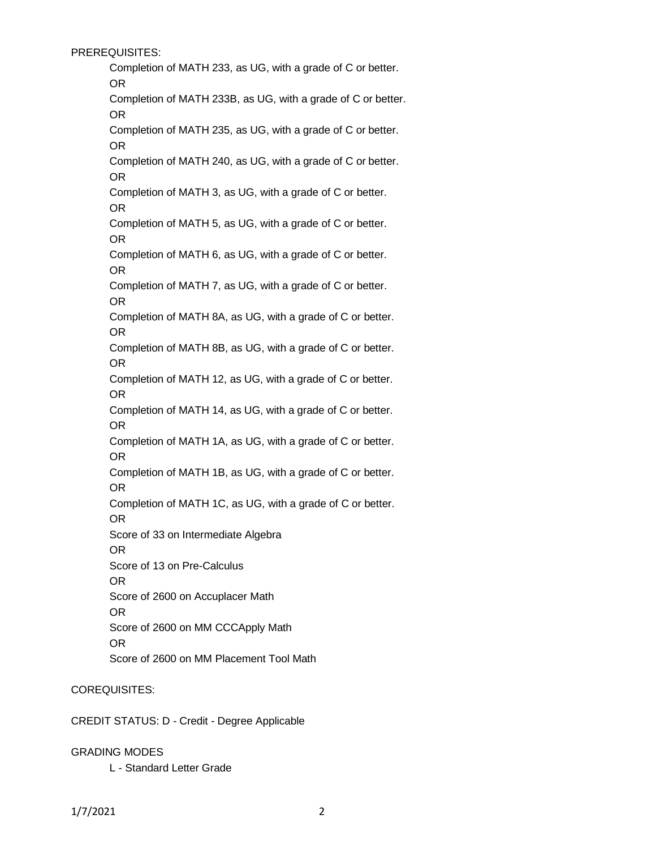PREREQUISITES:

Completion of MATH 233, as UG, with a grade of C or better. OR Completion of MATH 233B, as UG, with a grade of C or better.

OR

Completion of MATH 235, as UG, with a grade of C or better. OR

Completion of MATH 240, as UG, with a grade of C or better. OR

Completion of MATH 3, as UG, with a grade of C or better. OR

Completion of MATH 5, as UG, with a grade of C or better. OR

Completion of MATH 6, as UG, with a grade of C or better. OR

Completion of MATH 7, as UG, with a grade of C or better. OR

Completion of MATH 8A, as UG, with a grade of C or better. OR

Completion of MATH 8B, as UG, with a grade of C or better. OR

Completion of MATH 12, as UG, with a grade of C or better. OR

Completion of MATH 14, as UG, with a grade of C or better. OR

Completion of MATH 1A, as UG, with a grade of C or better. OR

Completion of MATH 1B, as UG, with a grade of C or better. OR

Completion of MATH 1C, as UG, with a grade of C or better. OR

Score of 33 on Intermediate Algebra

OR

Score of 13 on Pre-Calculus

OR

Score of 2600 on Accuplacer Math

OR

Score of 2600 on MM CCCApply Math

OR

Score of 2600 on MM Placement Tool Math

### COREQUISITES:

CREDIT STATUS: D - Credit - Degree Applicable

GRADING MODES

L - Standard Letter Grade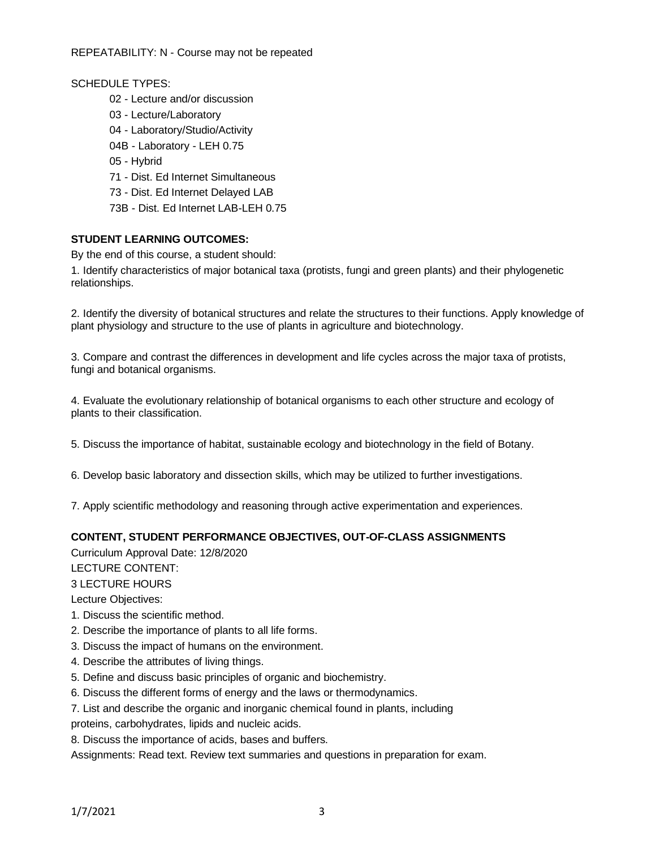REPEATABILITY: N - Course may not be repeated

#### SCHEDULE TYPES:

- 02 Lecture and/or discussion
- 03 Lecture/Laboratory
- 04 Laboratory/Studio/Activity
- 04B Laboratory LEH 0.75
- 05 Hybrid
- 71 Dist. Ed Internet Simultaneous
- 73 Dist. Ed Internet Delayed LAB
- 73B Dist. Ed Internet LAB-LEH 0.75

#### **STUDENT LEARNING OUTCOMES:**

By the end of this course, a student should:

1. Identify characteristics of major botanical taxa (protists, fungi and green plants) and their phylogenetic relationships.

2. Identify the diversity of botanical structures and relate the structures to their functions. Apply knowledge of plant physiology and structure to the use of plants in agriculture and biotechnology.

3. Compare and contrast the differences in development and life cycles across the major taxa of protists, fungi and botanical organisms.

4. Evaluate the evolutionary relationship of botanical organisms to each other structure and ecology of plants to their classification.

5. Discuss the importance of habitat, sustainable ecology and biotechnology in the field of Botany.

6. Develop basic laboratory and dissection skills, which may be utilized to further investigations.

7. Apply scientific methodology and reasoning through active experimentation and experiences.

#### **CONTENT, STUDENT PERFORMANCE OBJECTIVES, OUT-OF-CLASS ASSIGNMENTS**

Curriculum Approval Date: 12/8/2020

LECTURE CONTENT:

3 LECTURE HOURS

Lecture Objectives:

- 1. Discuss the scientific method.
- 2. Describe the importance of plants to all life forms.
- 3. Discuss the impact of humans on the environment.
- 4. Describe the attributes of living things.
- 5. Define and discuss basic principles of organic and biochemistry.
- 6. Discuss the different forms of energy and the laws or thermodynamics.
- 7. List and describe the organic and inorganic chemical found in plants, including
- proteins, carbohydrates, lipids and nucleic acids.

8. Discuss the importance of acids, bases and buffers.

Assignments: Read text. Review text summaries and questions in preparation for exam.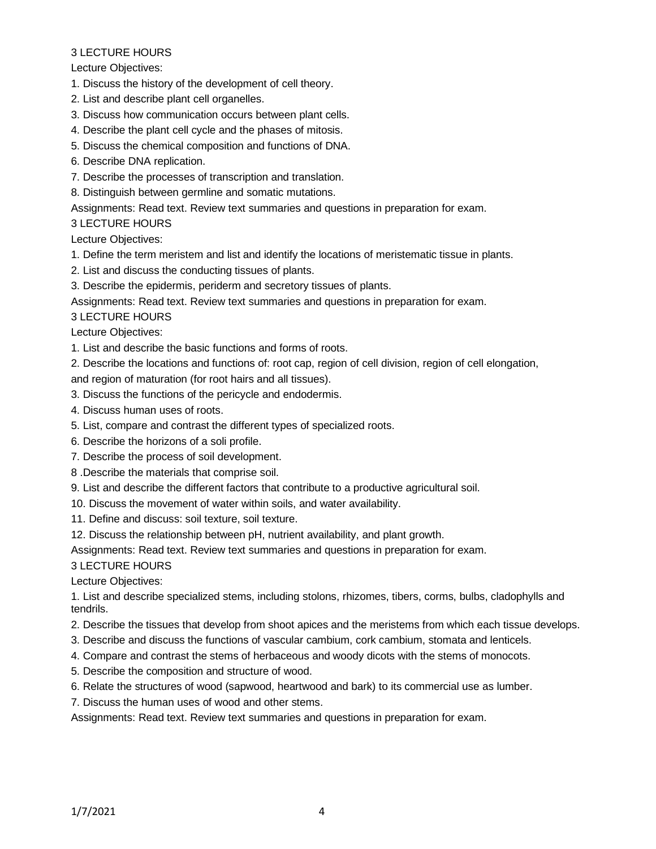#### Lecture Objectives:

- 1. Discuss the history of the development of cell theory.
- 2. List and describe plant cell organelles.
- 3. Discuss how communication occurs between plant cells.
- 4. Describe the plant cell cycle and the phases of mitosis.
- 5. Discuss the chemical composition and functions of DNA.
- 6. Describe DNA replication.
- 7. Describe the processes of transcription and translation.

8. Distinguish between germline and somatic mutations.

Assignments: Read text. Review text summaries and questions in preparation for exam.

#### 3 LECTURE HOURS

Lecture Objectives:

- 1. Define the term meristem and list and identify the locations of meristematic tissue in plants.
- 2. List and discuss the conducting tissues of plants.
- 3. Describe the epidermis, periderm and secretory tissues of plants.

Assignments: Read text. Review text summaries and questions in preparation for exam.

3 LECTURE HOURS

Lecture Objectives:

1. List and describe the basic functions and forms of roots.

2. Describe the locations and functions of: root cap, region of cell division, region of cell elongation, and region of maturation (for root hairs and all tissues).

- 3. Discuss the functions of the pericycle and endodermis.
- 4. Discuss human uses of roots.
- 5. List, compare and contrast the different types of specialized roots.
- 6. Describe the horizons of a soli profile.
- 7. Describe the process of soil development.
- 8 .Describe the materials that comprise soil.
- 9. List and describe the different factors that contribute to a productive agricultural soil.
- 10. Discuss the movement of water within soils, and water availability.
- 11. Define and discuss: soil texture, soil texture.
- 12. Discuss the relationship between pH, nutrient availability, and plant growth.

Assignments: Read text. Review text summaries and questions in preparation for exam.

3 LECTURE HOURS

Lecture Objectives:

1. List and describe specialized stems, including stolons, rhizomes, tibers, corms, bulbs, cladophylls and tendrils.

- 2. Describe the tissues that develop from shoot apices and the meristems from which each tissue develops.
- 3. Describe and discuss the functions of vascular cambium, cork cambium, stomata and lenticels.
- 4. Compare and contrast the stems of herbaceous and woody dicots with the stems of monocots.
- 5. Describe the composition and structure of wood.
- 6. Relate the structures of wood (sapwood, heartwood and bark) to its commercial use as lumber.
- 7. Discuss the human uses of wood and other stems.

Assignments: Read text. Review text summaries and questions in preparation for exam.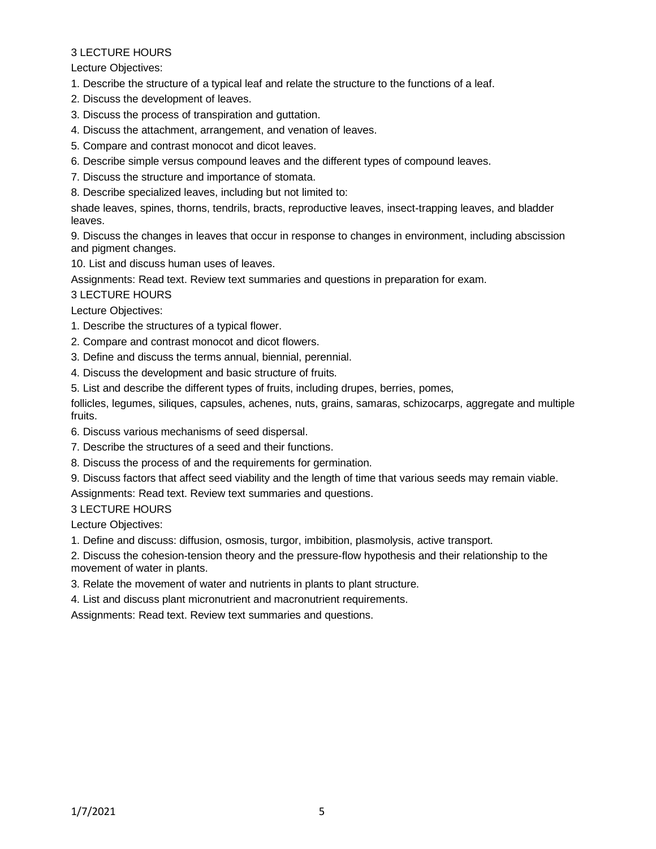Lecture Objectives:

- 1. Describe the structure of a typical leaf and relate the structure to the functions of a leaf.
- 2. Discuss the development of leaves.
- 3. Discuss the process of transpiration and guttation.
- 4. Discuss the attachment, arrangement, and venation of leaves.
- 5. Compare and contrast monocot and dicot leaves.
- 6. Describe simple versus compound leaves and the different types of compound leaves.
- 7. Discuss the structure and importance of stomata.
- 8. Describe specialized leaves, including but not limited to:

shade leaves, spines, thorns, tendrils, bracts, reproductive leaves, insect-trapping leaves, and bladder leaves.

9. Discuss the changes in leaves that occur in response to changes in environment, including abscission and pigment changes.

10. List and discuss human uses of leaves.

Assignments: Read text. Review text summaries and questions in preparation for exam.

3 LECTURE HOURS

Lecture Objectives:

- 1. Describe the structures of a typical flower.
- 2. Compare and contrast monocot and dicot flowers.
- 3. Define and discuss the terms annual, biennial, perennial.
- 4. Discuss the development and basic structure of fruits.

5. List and describe the different types of fruits, including drupes, berries, pomes,

follicles, legumes, siliques, capsules, achenes, nuts, grains, samaras, schizocarps, aggregate and multiple fruits.

- 6. Discuss various mechanisms of seed dispersal.
- 7. Describe the structures of a seed and their functions.
- 8. Discuss the process of and the requirements for germination.
- 9. Discuss factors that affect seed viability and the length of time that various seeds may remain viable.

#### Assignments: Read text. Review text summaries and questions.

3 LECTURE HOURS

Lecture Objectives:

1. Define and discuss: diffusion, osmosis, turgor, imbibition, plasmolysis, active transport.

2. Discuss the cohesion-tension theory and the pressure-flow hypothesis and their relationship to the movement of water in plants.

3. Relate the movement of water and nutrients in plants to plant structure.

4. List and discuss plant micronutrient and macronutrient requirements.

Assignments: Read text. Review text summaries and questions.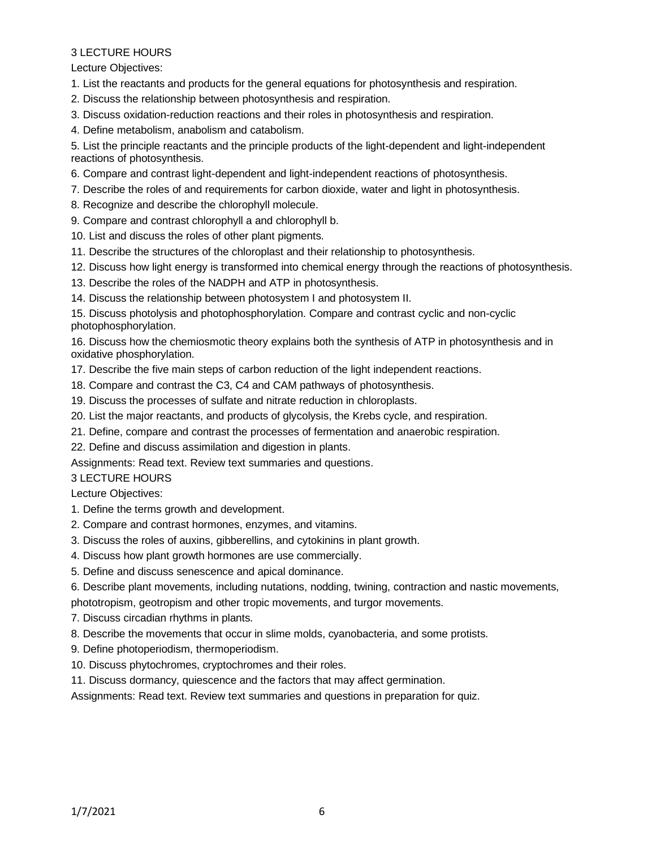Lecture Objectives:

- 1. List the reactants and products for the general equations for photosynthesis and respiration.
- 2. Discuss the relationship between photosynthesis and respiration.
- 3. Discuss oxidation-reduction reactions and their roles in photosynthesis and respiration.
- 4. Define metabolism, anabolism and catabolism.

5. List the principle reactants and the principle products of the light-dependent and light-independent reactions of photosynthesis.

- 6. Compare and contrast light-dependent and light-independent reactions of photosynthesis.
- 7. Describe the roles of and requirements for carbon dioxide, water and light in photosynthesis.
- 8. Recognize and describe the chlorophyll molecule.
- 9. Compare and contrast chlorophyll a and chlorophyll b.
- 10. List and discuss the roles of other plant pigments.
- 11. Describe the structures of the chloroplast and their relationship to photosynthesis.
- 12. Discuss how light energy is transformed into chemical energy through the reactions of photosynthesis.
- 13. Describe the roles of the NADPH and ATP in photosynthesis.
- 14. Discuss the relationship between photosystem I and photosystem II.

15. Discuss photolysis and photophosphorylation. Compare and contrast cyclic and non-cyclic photophosphorylation.

16. Discuss how the chemiosmotic theory explains both the synthesis of ATP in photosynthesis and in oxidative phosphorylation.

- 17. Describe the five main steps of carbon reduction of the light independent reactions.
- 18. Compare and contrast the C3, C4 and CAM pathways of photosynthesis.
- 19. Discuss the processes of sulfate and nitrate reduction in chloroplasts.
- 20. List the major reactants, and products of glycolysis, the Krebs cycle, and respiration.
- 21. Define, compare and contrast the processes of fermentation and anaerobic respiration.
- 22. Define and discuss assimilation and digestion in plants.

Assignments: Read text. Review text summaries and questions.

### 3 LECTURE HOURS

Lecture Objectives:

- 1. Define the terms growth and development.
- 2. Compare and contrast hormones, enzymes, and vitamins.
- 3. Discuss the roles of auxins, gibberellins, and cytokinins in plant growth.
- 4. Discuss how plant growth hormones are use commercially.
- 5. Define and discuss senescence and apical dominance.
- 6. Describe plant movements, including nutations, nodding, twining, contraction and nastic movements,

phototropism, geotropism and other tropic movements, and turgor movements.

- 7. Discuss circadian rhythms in plants.
- 8. Describe the movements that occur in slime molds, cyanobacteria, and some protists.
- 9. Define photoperiodism, thermoperiodism.
- 10. Discuss phytochromes, cryptochromes and their roles.
- 11. Discuss dormancy, quiescence and the factors that may affect germination.

Assignments: Read text. Review text summaries and questions in preparation for quiz.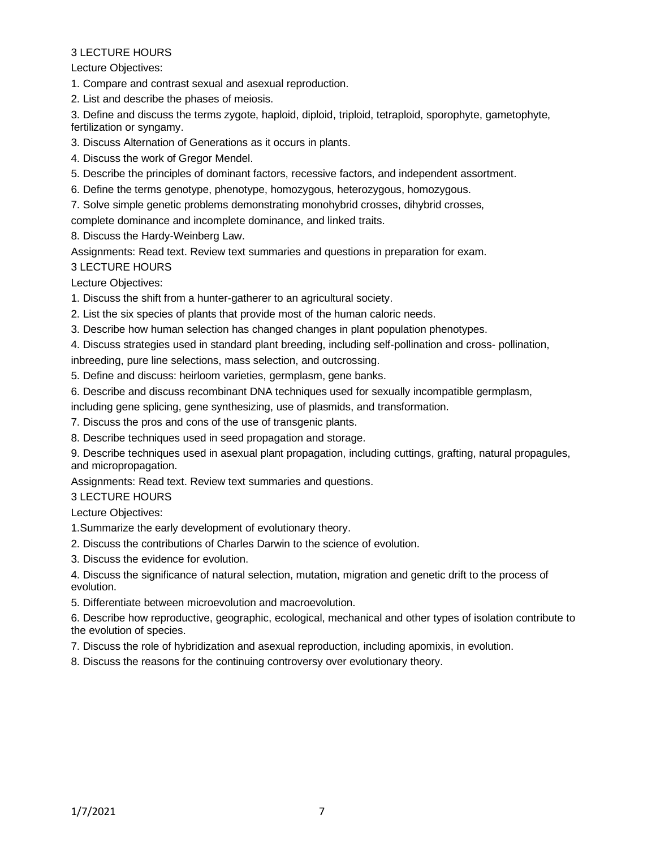Lecture Objectives:

1. Compare and contrast sexual and asexual reproduction.

2. List and describe the phases of meiosis.

3. Define and discuss the terms zygote, haploid, diploid, triploid, tetraploid, sporophyte, gametophyte, fertilization or syngamy.

- 3. Discuss Alternation of Generations as it occurs in plants.
- 4. Discuss the work of Gregor Mendel.
- 5. Describe the principles of dominant factors, recessive factors, and independent assortment.
- 6. Define the terms genotype, phenotype, homozygous, heterozygous, homozygous.
- 7. Solve simple genetic problems demonstrating monohybrid crosses, dihybrid crosses,

complete dominance and incomplete dominance, and linked traits.

8. Discuss the Hardy-Weinberg Law.

Assignments: Read text. Review text summaries and questions in preparation for exam.

3 LECTURE HOURS

Lecture Objectives:

- 1. Discuss the shift from a hunter-gatherer to an agricultural society.
- 2. List the six species of plants that provide most of the human caloric needs.
- 3. Describe how human selection has changed changes in plant population phenotypes.
- 4. Discuss strategies used in standard plant breeding, including self-pollination and cross- pollination,

inbreeding, pure line selections, mass selection, and outcrossing.

- 5. Define and discuss: heirloom varieties, germplasm, gene banks.
- 6. Describe and discuss recombinant DNA techniques used for sexually incompatible germplasm,

including gene splicing, gene synthesizing, use of plasmids, and transformation.

- 7. Discuss the pros and cons of the use of transgenic plants.
- 8. Describe techniques used in seed propagation and storage.

9. Describe techniques used in asexual plant propagation, including cuttings, grafting, natural propagules, and micropropagation.

Assignments: Read text. Review text summaries and questions.

#### 3 LECTURE HOURS

Lecture Objectives:

- 1.Summarize the early development of evolutionary theory.
- 2. Discuss the contributions of Charles Darwin to the science of evolution.
- 3. Discuss the evidence for evolution.
- 4. Discuss the significance of natural selection, mutation, migration and genetic drift to the process of evolution.
- 5. Differentiate between microevolution and macroevolution.

6. Describe how reproductive, geographic, ecological, mechanical and other types of isolation contribute to the evolution of species.

- 7. Discuss the role of hybridization and asexual reproduction, including apomixis, in evolution.
- 8. Discuss the reasons for the continuing controversy over evolutionary theory.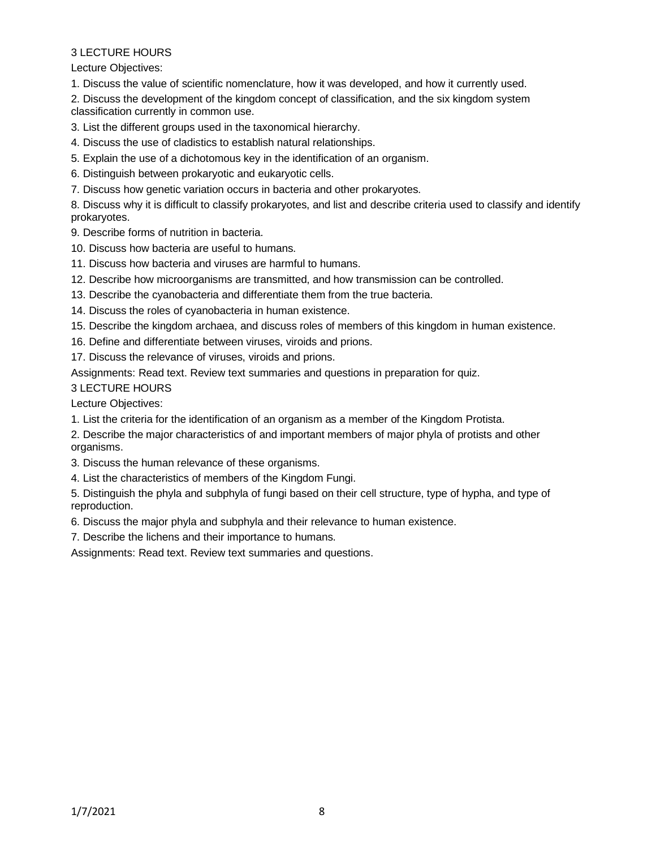Lecture Objectives:

1. Discuss the value of scientific nomenclature, how it was developed, and how it currently used.

2. Discuss the development of the kingdom concept of classification, and the six kingdom system classification currently in common use.

3. List the different groups used in the taxonomical hierarchy.

4. Discuss the use of cladistics to establish natural relationships.

5. Explain the use of a dichotomous key in the identification of an organism.

6. Distinguish between prokaryotic and eukaryotic cells.

7. Discuss how genetic variation occurs in bacteria and other prokaryotes.

8. Discuss why it is difficult to classify prokaryotes, and list and describe criteria used to classify and identify prokaryotes.

9. Describe forms of nutrition in bacteria.

- 10. Discuss how bacteria are useful to humans.
- 11. Discuss how bacteria and viruses are harmful to humans.
- 12. Describe how microorganisms are transmitted, and how transmission can be controlled.

13. Describe the cyanobacteria and differentiate them from the true bacteria.

14. Discuss the roles of cyanobacteria in human existence.

15. Describe the kingdom archaea, and discuss roles of members of this kingdom in human existence.

16. Define and differentiate between viruses, viroids and prions.

17. Discuss the relevance of viruses, viroids and prions.

Assignments: Read text. Review text summaries and questions in preparation for quiz.

3 LECTURE HOURS

Lecture Objectives:

1. List the criteria for the identification of an organism as a member of the Kingdom Protista.

2. Describe the major characteristics of and important members of major phyla of protists and other organisms.

3. Discuss the human relevance of these organisms.

4. List the characteristics of members of the Kingdom Fungi.

5. Distinguish the phyla and subphyla of fungi based on their cell structure, type of hypha, and type of reproduction.

6. Discuss the major phyla and subphyla and their relevance to human existence.

7. Describe the lichens and their importance to humans.

Assignments: Read text. Review text summaries and questions.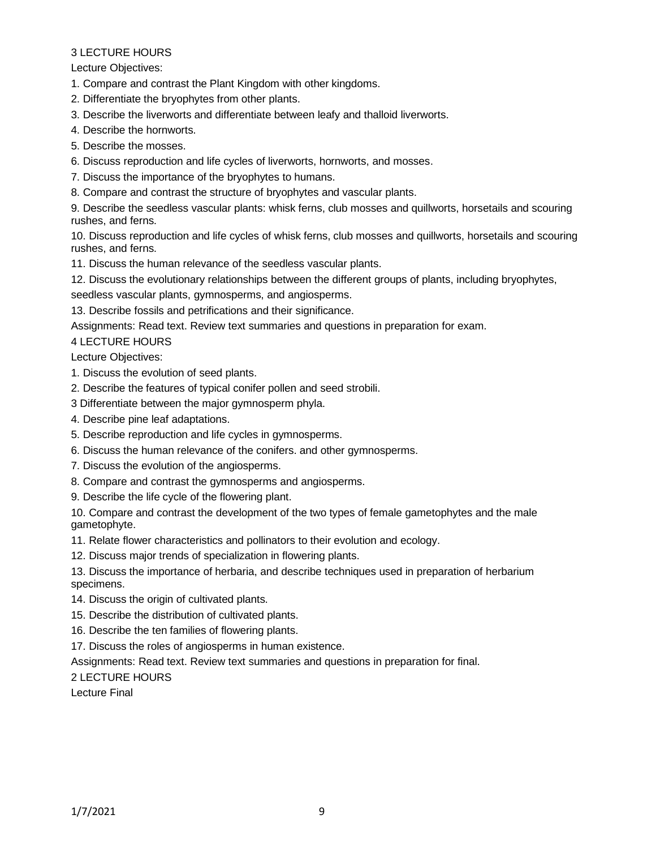Lecture Objectives:

1. Compare and contrast the Plant Kingdom with other kingdoms.

2. Differentiate the bryophytes from other plants.

3. Describe the liverworts and differentiate between leafy and thalloid liverworts.

- 4. Describe the hornworts.
- 5. Describe the mosses.
- 6. Discuss reproduction and life cycles of liverworts, hornworts, and mosses.
- 7. Discuss the importance of the bryophytes to humans.
- 8. Compare and contrast the structure of bryophytes and vascular plants.

9. Describe the seedless vascular plants: whisk ferns, club mosses and quillworts, horsetails and scouring rushes, and ferns.

10. Discuss reproduction and life cycles of whisk ferns, club mosses and quillworts, horsetails and scouring rushes, and ferns.

- 11. Discuss the human relevance of the seedless vascular plants.
- 12. Discuss the evolutionary relationships between the different groups of plants, including bryophytes,

seedless vascular plants, gymnosperms, and angiosperms.

13. Describe fossils and petrifications and their significance.

Assignments: Read text. Review text summaries and questions in preparation for exam.

4 LECTURE HOURS

Lecture Objectives:

- 1. Discuss the evolution of seed plants.
- 2. Describe the features of typical conifer pollen and seed strobili.
- 3 Differentiate between the major gymnosperm phyla.
- 4. Describe pine leaf adaptations.
- 5. Describe reproduction and life cycles in gymnosperms.
- 6. Discuss the human relevance of the conifers. and other gymnosperms.
- 7. Discuss the evolution of the angiosperms.
- 8. Compare and contrast the gymnosperms and angiosperms.
- 9. Describe the life cycle of the flowering plant.

10. Compare and contrast the development of the two types of female gametophytes and the male gametophyte.

11. Relate flower characteristics and pollinators to their evolution and ecology.

12. Discuss major trends of specialization in flowering plants.

13. Discuss the importance of herbaria, and describe techniques used in preparation of herbarium specimens.

- 14. Discuss the origin of cultivated plants.
- 15. Describe the distribution of cultivated plants.

16. Describe the ten families of flowering plants.

17. Discuss the roles of angiosperms in human existence.

Assignments: Read text. Review text summaries and questions in preparation for final.

2 LECTURE HOURS

Lecture Final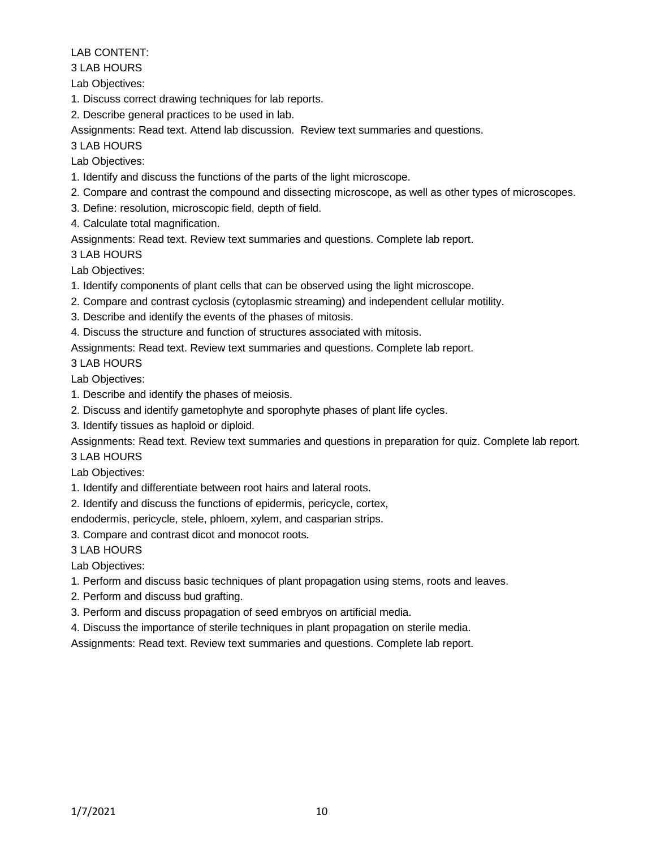# LAB CONTENT:

3 LAB HOURS

Lab Objectives:

1. Discuss correct drawing techniques for lab reports.

2. Describe general practices to be used in lab.

Assignments: Read text. Attend lab discussion. Review text summaries and questions.

3 LAB HOURS

Lab Objectives:

- 1. Identify and discuss the functions of the parts of the light microscope.
- 2. Compare and contrast the compound and dissecting microscope, as well as other types of microscopes.
- 3. Define: resolution, microscopic field, depth of field.
- 4. Calculate total magnification.

Assignments: Read text. Review text summaries and questions. Complete lab report.

3 LAB HOURS

Lab Objectives:

1. Identify components of plant cells that can be observed using the light microscope.

- 2. Compare and contrast cyclosis (cytoplasmic streaming) and independent cellular motility.
- 3. Describe and identify the events of the phases of mitosis.
- 4. Discuss the structure and function of structures associated with mitosis.

Assignments: Read text. Review text summaries and questions. Complete lab report.

3 LAB HOURS

Lab Objectives:

- 1. Describe and identify the phases of meiosis.
- 2. Discuss and identify gametophyte and sporophyte phases of plant life cycles.
- 3. Identify tissues as haploid or diploid.

Assignments: Read text. Review text summaries and questions in preparation for quiz. Complete lab report.

3 LAB HOURS

Lab Objectives:

1. Identify and differentiate between root hairs and lateral roots.

2. Identify and discuss the functions of epidermis, pericycle, cortex,

endodermis, pericycle, stele, phloem, xylem, and casparian strips.

3. Compare and contrast dicot and monocot roots.

3 LAB HOURS

Lab Objectives:

1. Perform and discuss basic techniques of plant propagation using stems, roots and leaves.

- 2. Perform and discuss bud grafting.
- 3. Perform and discuss propagation of seed embryos on artificial media.
- 4. Discuss the importance of sterile techniques in plant propagation on sterile media.

Assignments: Read text. Review text summaries and questions. Complete lab report.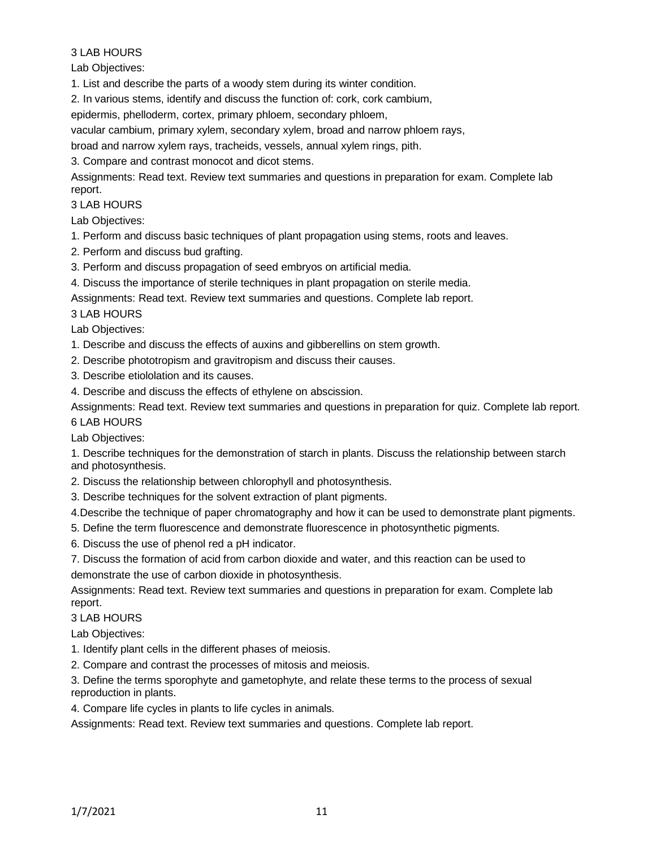### 3 LAB HOURS

Lab Objectives:

1. List and describe the parts of a woody stem during its winter condition.

2. In various stems, identify and discuss the function of: cork, cork cambium,

epidermis, phelloderm, cortex, primary phloem, secondary phloem,

vacular cambium, primary xylem, secondary xylem, broad and narrow phloem rays,

broad and narrow xylem rays, tracheids, vessels, annual xylem rings, pith.

3. Compare and contrast monocot and dicot stems.

Assignments: Read text. Review text summaries and questions in preparation for exam. Complete lab report.

3 LAB HOURS

Lab Objectives:

1. Perform and discuss basic techniques of plant propagation using stems, roots and leaves.

2. Perform and discuss bud grafting.

- 3. Perform and discuss propagation of seed embryos on artificial media.
- 4. Discuss the importance of sterile techniques in plant propagation on sterile media.

Assignments: Read text. Review text summaries and questions. Complete lab report.

3 LAB HOURS

Lab Objectives:

1. Describe and discuss the effects of auxins and gibberellins on stem growth.

- 2. Describe phototropism and gravitropism and discuss their causes.
- 3. Describe etiololation and its causes.

4. Describe and discuss the effects of ethylene on abscission.

Assignments: Read text. Review text summaries and questions in preparation for quiz. Complete lab report. 6 LAB HOURS

Lab Objectives:

1. Describe techniques for the demonstration of starch in plants. Discuss the relationship between starch and photosynthesis.

- 2. Discuss the relationship between chlorophyll and photosynthesis.
- 3. Describe techniques for the solvent extraction of plant pigments.

4.Describe the technique of paper chromatography and how it can be used to demonstrate plant pigments.

5. Define the term fluorescence and demonstrate fluorescence in photosynthetic pigments.

6. Discuss the use of phenol red a pH indicator.

7. Discuss the formation of acid from carbon dioxide and water, and this reaction can be used to demonstrate the use of carbon dioxide in photosynthesis.

Assignments: Read text. Review text summaries and questions in preparation for exam. Complete lab report.

# 3 LAB HOURS

Lab Objectives:

1. Identify plant cells in the different phases of meiosis.

2. Compare and contrast the processes of mitosis and meiosis.

3. Define the terms sporophyte and gametophyte, and relate these terms to the process of sexual reproduction in plants.

4. Compare life cycles in plants to life cycles in animals.

Assignments: Read text. Review text summaries and questions. Complete lab report.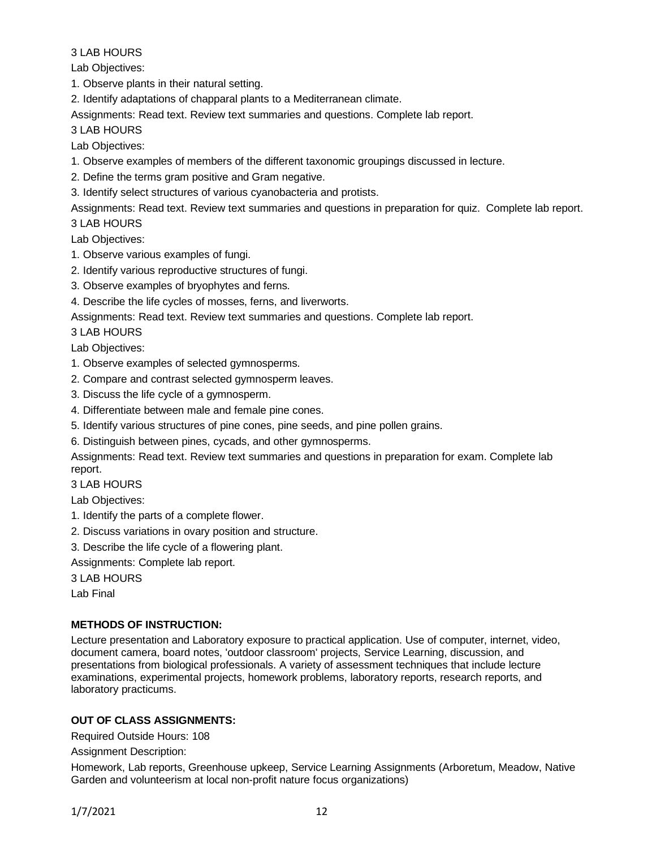### 3 LAB HOURS

Lab Objectives:

1. Observe plants in their natural setting.

2. Identify adaptations of chapparal plants to a Mediterranean climate.

Assignments: Read text. Review text summaries and questions. Complete lab report.

3 LAB HOURS

Lab Objectives:

1. Observe examples of members of the different taxonomic groupings discussed in lecture.

2. Define the terms gram positive and Gram negative.

3. Identify select structures of various cyanobacteria and protists.

Assignments: Read text. Review text summaries and questions in preparation for quiz. Complete lab report.

3 LAB HOURS

Lab Objectives:

- 1. Observe various examples of fungi.
- 2. Identify various reproductive structures of fungi.
- 3. Observe examples of bryophytes and ferns.
- 4. Describe the life cycles of mosses, ferns, and liverworts.

Assignments: Read text. Review text summaries and questions. Complete lab report.

3 LAB HOURS

Lab Objectives:

- 1. Observe examples of selected gymnosperms.
- 2. Compare and contrast selected gymnosperm leaves.
- 3. Discuss the life cycle of a gymnosperm.
- 4. Differentiate between male and female pine cones.
- 5. Identify various structures of pine cones, pine seeds, and pine pollen grains.

6. Distinguish between pines, cycads, and other gymnosperms.

Assignments: Read text. Review text summaries and questions in preparation for exam. Complete lab report.

3 LAB HOURS

Lab Objectives:

- 1. Identify the parts of a complete flower.
- 2. Discuss variations in ovary position and structure.
- 3. Describe the life cycle of a flowering plant.
- Assignments: Complete lab report.

3 LAB HOURS

Lab Final

### **METHODS OF INSTRUCTION:**

Lecture presentation and Laboratory exposure to practical application. Use of computer, internet, video, document camera, board notes, 'outdoor classroom' projects, Service Learning, discussion, and presentations from biological professionals. A variety of assessment techniques that include lecture examinations, experimental projects, homework problems, laboratory reports, research reports, and laboratory practicums.

# **OUT OF CLASS ASSIGNMENTS:**

Required Outside Hours: 108

Assignment Description:

Homework, Lab reports, Greenhouse upkeep, Service Learning Assignments (Arboretum, Meadow, Native Garden and volunteerism at local non-profit nature focus organizations)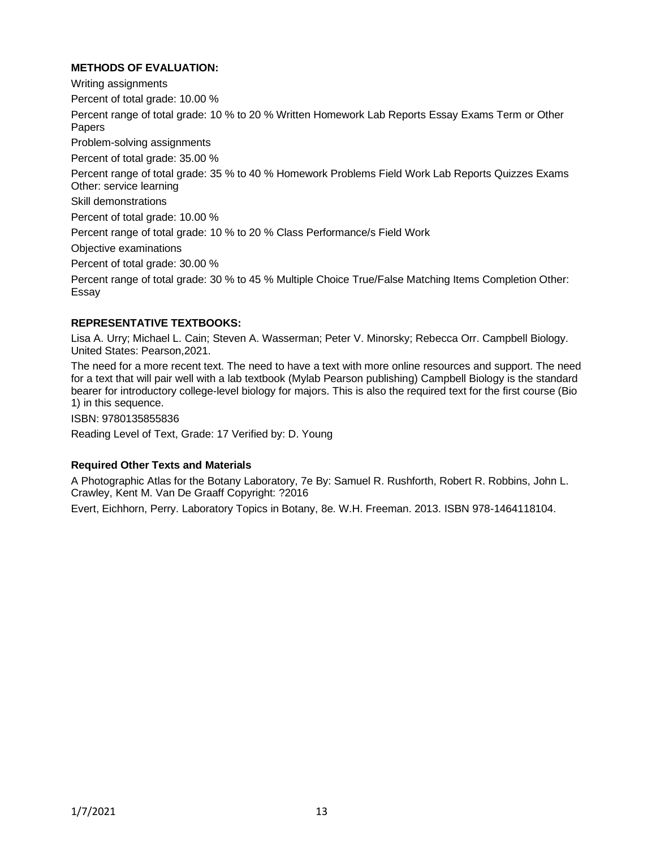### **METHODS OF EVALUATION:**

Writing assignments Percent of total grade: 10.00 % Percent range of total grade: 10 % to 20 % Written Homework Lab Reports Essay Exams Term or Other Papers Problem-solving assignments Percent of total grade: 35.00 % Percent range of total grade: 35 % to 40 % Homework Problems Field Work Lab Reports Quizzes Exams Other: service learning Skill demonstrations Percent of total grade: 10.00 % Percent range of total grade: 10 % to 20 % Class Performance/s Field Work Objective examinations Percent of total grade: 30.00 % Percent range of total grade: 30 % to 45 % Multiple Choice True/False Matching Items Completion Other: Essay

#### **REPRESENTATIVE TEXTBOOKS:**

Lisa A. Urry; Michael L. Cain; Steven A. Wasserman; Peter V. Minorsky; Rebecca Orr. Campbell Biology. United States: Pearson,2021.

The need for a more recent text. The need to have a text with more online resources and support. The need for a text that will pair well with a lab textbook (Mylab Pearson publishing) Campbell Biology is the standard bearer for introductory college-level biology for majors. This is also the required text for the first course (Bio 1) in this sequence.

ISBN: 9780135855836

Reading Level of Text, Grade: 17 Verified by: D. Young

#### **Required Other Texts and Materials**

A Photographic Atlas for the Botany Laboratory, 7e By: Samuel R. Rushforth, Robert R. Robbins, John L. Crawley, Kent M. Van De Graaff Copyright: ?2016

Evert, Eichhorn, Perry. Laboratory Topics in Botany, 8e. W.H. Freeman. 2013. ISBN 978-1464118104.